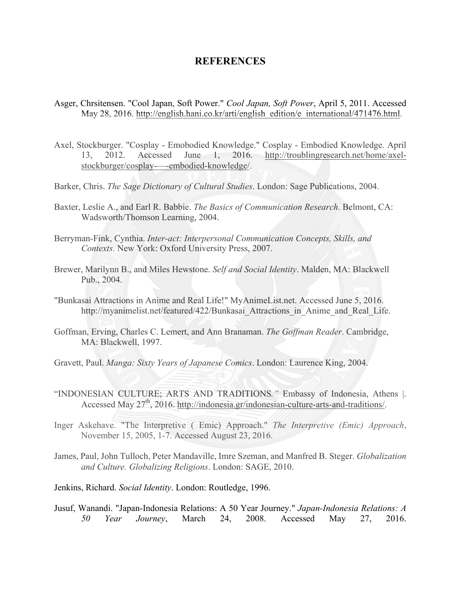## **REFERENCES**

- Asger, Chrsitensen. "Cool Japan, Soft Power." *Cool Japan, Soft Power*, April 5, 2011. Accessed May 28, 2016. http://english.hani.co.kr/arti/english\_edition/e\_international/471476.html.
- Axel, Stockburger. "Cosplay Emobodied Knowledge." Cosplay Embodied Knowledge. April 13, 2012. Accessed June 1, 2016. http://troublingresearch.net/home/axelstockburger/cosplay-—-embodied-knowledge/.
- Barker, Chris. *The Sage Dictionary of Cultural Studies*. London: Sage Publications, 2004.
- Baxter, Leslie A., and Earl R. Babbie. *The Basics of Communication Research*. Belmont, CA: Wadsworth/Thomson Learning, 2004.
- Berryman-Fink, Cynthia. *Inter-act: Interpersonal Communication Concepts, Skills, and Contexts*. New York: Oxford University Press, 2007.
- Brewer, Marilynn B., and Miles Hewstone. *Self and Social Identity*. Malden, MA: Blackwell Pub., 2004.
- "Bunkasai Attractions in Anime and Real Life!" MyAnimeList.net. Accessed June 5, 2016. http://myanimelist.net/featured/422/Bunkasai\_Attractions\_in\_Anime\_and\_Real\_Life.
- Goffman, Erving, Charles C. Lemert, and Ann Branaman. *The Goffman Reader*. Cambridge, MA: Blackwell, 1997.
- Gravett, Paul. *Manga: Sixty Years of Japanese Comics*. London: Laurence King, 2004.
- "INDONESIAN CULTURE; ARTS AND TRADITIONS*."* Embassy of Indonesia, Athens |. Accessed May 27<sup>th</sup>, 2016. http://indonesia.gr/indonesian-culture-arts-and-traditions/.
- Inger Askehave. "The Interpretive ( Emic) Approach." *The Interpretive (Emic) Approach*, November 15, 2005, 1-7. Accessed August 23, 2016.
- James, Paul, John Tulloch, Peter Mandaville, Imre Szeman, and Manfred B. Steger. *Globalization and Culture. Globalizing Religions*. London: SAGE, 2010.
- Jenkins, Richard. *Social Identity*. London: Routledge, 1996.
- Jusuf, Wanandi. "Japan-Indonesia Relations: A 50 Year Journey." *Japan-Indonesia Relations: A 50 Year Journey*, March 24, 2008. Accessed May 27, 2016.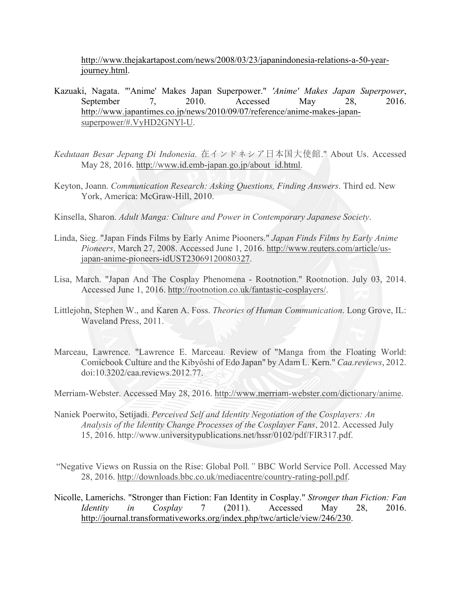http://www.thejakartapost.com/news/2008/03/23/japanindonesia-relations-a-50-yearjourney.html.

- Kazuaki, Nagata. "'Anime' Makes Japan Superpower." *'Anime' Makes Japan Superpower*, September 7, 2010. Accessed May 28, 2016. http://www.japantimes.co.jp/news/2010/09/07/reference/anime-makes-japansuperpower/#.VyHD2GNYl-U.
- *Kedutaan Besar Jepang Di Indonesia.* 在インドネシア日本国大使館." About Us. Accessed May 28, 2016. http://www.id.emb-japan.go.jp/about\_id.html.
- Keyton, Joann. *Communication Research: Asking Questions, Finding Answers*. Third ed. New York, America: McGraw-Hill, 2010.
- Kinsella, Sharon. *Adult Manga: Culture and Power in Contemporary Japanese Society*.
- Linda, Sieg. "Japan Finds Films by Early Anime Piooners." *Japan Finds Films by Early Anime Pioneers*, March 27, 2008. Accessed June 1, 2016. http://www.reuters.com/article/usjapan-anime-pioneers-idUST23069120080327.
- Lisa, March. "Japan And The Cosplay Phenomena Rootnotion." Rootnotion. July 03, 2014. Accessed June 1, 2016. http://rootnotion.co.uk/fantastic-cosplayers/.
- Littlejohn, Stephen W., and Karen A. Foss. *Theories of Human Communication*. Long Grove, IL: Waveland Press, 2011.
- Marceau, Lawrence. "Lawrence E. Marceau. Review of "Manga from the Floating World: Comicbook Culture and the Kibyôshi of Edo Japan" by Adam L. Kern." *Caa.reviews*, 2012. doi:10.3202/caa.reviews.2012.77.

Merriam-Webster. Accessed May 28, 2016. http://www.merriam-webster.com/dictionary/anime.

- Naniek Poerwito, Setijadi. *Perceived Self and Identity Negotiation of the Cosplayers: An Analysis of the Identity Change Processes of the Cosplayer Fans*, 2012. Accessed July 15, 2016. http://www.universitypublications.net/hssr/0102/pdf/FIR317.pdf.
- "Negative Views on Russia on the Rise: Global Poll*."* BBC World Service Poll. Accessed May 28, 2016. http://downloads.bbc.co.uk/mediacentre/country-rating-poll.pdf.
- Nicolle, Lamerichs. "Stronger than Fiction: Fan Identity in Cosplay." *Stronger than Fiction: Fan Identity in Cosplay* 7 (2011). Accessed May 28, 2016. http://journal.transformativeworks.org/index.php/twc/article/view/246/230.